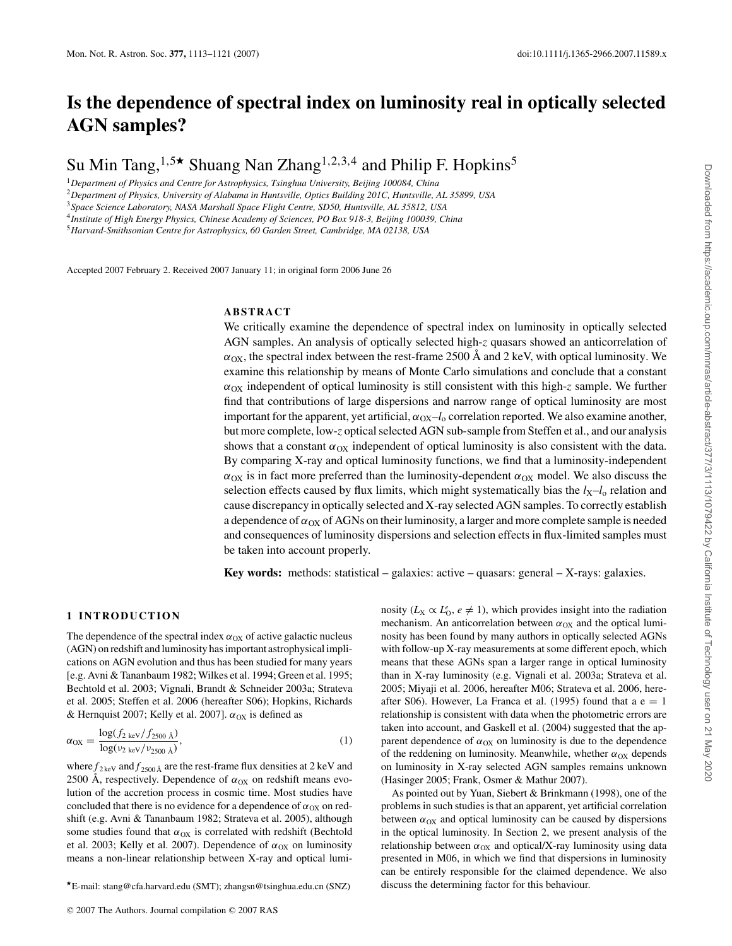# **Is the dependence of spectral index on luminosity real in optically selected AGN samples?**

Su Min Tang,<sup>1,5\*</sup> Shuang Nan Zhang<sup>1,2,3,4</sup> and Philip F. Hopkins<sup>5</sup>

<sup>1</sup>*Department of Physics and Centre for Astrophysics, Tsinghua University, Beijing 100084, China*

<sup>2</sup>*Department of Physics, University of Alabama in Huntsville, Optics Building 201C, Huntsville, AL 35899, USA*

<sup>3</sup>*Space Science Laboratory, NASA Marshall Space Flight Centre, SD50, Huntsville, AL 35812, USA*

<sup>4</sup>*Institute of High Energy Physics, Chinese Academy of Sciences, PO Box 918-3, Beijing 100039, China*

<sup>5</sup>*Harvard-Smithsonian Centre for Astrophysics, 60 Garden Street, Cambridge, MA 02138, USA*

Accepted 2007 February 2. Received 2007 January 11; in original form 2006 June 26

# **ABSTRACT**

We critically examine the dependence of spectral index on luminosity in optically selected AGN samples. An analysis of optically selected high-*z* quasars showed an anticorrelation of  $\alpha_{\rm OX}$ , the spectral index between the rest-frame 2500 Å and 2 keV, with optical luminosity. We examine this relationship by means of Monte Carlo simulations and conclude that a constant  $\alpha_{OX}$  independent of optical luminosity is still consistent with this high-*z* sample. We further find that contributions of large dispersions and narrow range of optical luminosity are most important for the apparent, yet artificial,  $\alpha_{\text{OX}}-l_0$  correlation reported. We also examine another, but more complete, low-*z* optical selected AGN sub-sample from Steffen et al., and our analysis shows that a constant  $\alpha_{OX}$  independent of optical luminosity is also consistent with the data. By comparing X-ray and optical luminosity functions, we find that a luminosity-independent  $\alpha_{\text{OX}}$  is in fact more preferred than the luminosity-dependent  $\alpha_{\text{OX}}$  model. We also discuss the selection effects caused by flux limits, which might systematically bias the  $l_X-l_0$  relation and cause discrepancy in optically selected and X-ray selected AGN samples. To correctly establish a dependence of  $\alpha_{\rm OX}$  of AGNs on their luminosity, a larger and more complete sample is needed and consequences of luminosity dispersions and selection effects in flux-limited samples must be taken into account properly.

**Key words:** methods: statistical – galaxies: active – quasars: general – X-rays: galaxies.

## **1 INTRODUCTION**

The dependence of the spectral index  $\alpha_{OX}$  of active galactic nucleus (AGN) on redshift and luminosity has important astrophysical implications on AGN evolution and thus has been studied for many years [e.g. Avni & Tananbaum 1982; Wilkes et al. 1994; Green et al. 1995; Bechtold et al. 2003; Vignali, Brandt & Schneider 2003a; Strateva et al. 2005; Steffen et al. 2006 (hereafter S06); Hopkins, Richards & Hernquist 2007; Kelly et al. 2007].  $\alpha_{OX}$  is defined as

$$
\alpha_{\rm OX} = \frac{\log(f_{2 \text{ keV}}/f_{2500 \text{ Å}})}{\log(\nu_{2 \text{ keV}}/\nu_{2500 \text{ Å}})},\tag{1}
$$

where  $f_{2\text{keV}}$  and  $f_{2500\text{Å}}$  are the rest-frame flux densities at 2 keV and 2500 Å, respectively. Dependence of  $\alpha_{OX}$  on redshift means evolution of the accretion process in cosmic time. Most studies have concluded that there is no evidence for a dependence of  $\alpha_{OX}$  on redshift (e.g. Avni & Tananbaum 1982; Strateva et al. 2005), although some studies found that  $\alpha_{OX}$  is correlated with redshift (Bechtold et al. 2003; Kelly et al. 2007). Dependence of  $\alpha_{OX}$  on luminosity means a non-linear relationship between X-ray and optical lumi-

nosity ( $L_X \propto L_0^e$ ,  $e \neq 1$ ), which provides insight into the radiation mechanism. An anticorrelation between  $\alpha_{OX}$  and the optical luminosity has been found by many authors in optically selected AGNs with follow-up X-ray measurements at some different epoch, which means that these AGNs span a larger range in optical luminosity than in X-ray luminosity (e.g. Vignali et al. 2003a; Strateva et al. 2005; Miyaji et al. 2006, hereafter M06; Strateva et al. 2006, hereafter S06). However, La Franca et al. (1995) found that a  $e = 1$ relationship is consistent with data when the photometric errors are taken into account, and Gaskell et al. (2004) suggested that the apparent dependence of  $\alpha_{\text{OX}}$  on luminosity is due to the dependence of the reddening on luminosity. Meanwhile, whether  $\alpha_{OX}$  depends on luminosity in X-ray selected AGN samples remains unknown (Hasinger 2005; Frank, Osmer & Mathur 2007).

As pointed out by Yuan, Siebert & Brinkmann (1998), one of the problems in such studies is that an apparent, yet artificial correlation between  $\alpha_{OX}$  and optical luminosity can be caused by dispersions in the optical luminosity. In Section 2, we present analysis of the relationship between  $\alpha_{OX}$  and optical/X-ray luminosity using data presented in M06, in which we find that dispersions in luminosity can be entirely responsible for the claimed dependence. We also discuss the determining factor for this behaviour.

<sup>-</sup>E-mail: stang@cfa.harvard.edu (SMT); zhangsn@tsinghua.edu.cn (SNZ)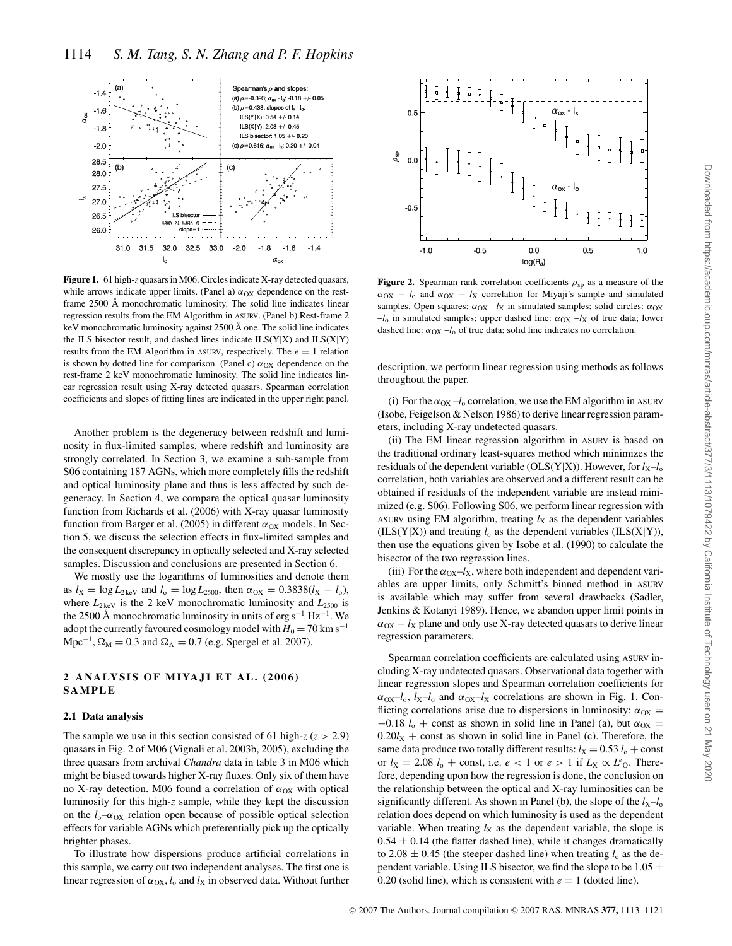

**Figure 1.** 61 high-*z* quasars in M06. Circles indicate X-ray detected quasars, while arrows indicate upper limits. (Panel a)  $\alpha_{OX}$  dependence on the restframe 2500 Å monochromatic luminosity. The solid line indicates linear regression results from the EM Algorithm in ASURV. (Panel b) Rest-frame 2 keV monochromatic luminosity against 2500 Å one. The solid line indicates the ILS bisector result, and dashed lines indicate  $ILS(Y|X)$  and  $ILS(X|Y)$ results from the EM Algorithm in ASURV, respectively. The  $e = 1$  relation is shown by dotted line for comparison. (Panel c)  $\alpha_{OX}$  dependence on the rest-frame 2 keV monochromatic luminosity. The solid line indicates linear regression result using X-ray detected quasars. Spearman correlation coefficients and slopes of fitting lines are indicated in the upper right panel.

Another problem is the degeneracy between redshift and luminosity in flux-limited samples, where redshift and luminosity are strongly correlated. In Section 3, we examine a sub-sample from S06 containing 187 AGNs, which more completely fills the redshift and optical luminosity plane and thus is less affected by such degeneracy. In Section 4, we compare the optical quasar luminosity function from Richards et al. (2006) with X-ray quasar luminosity function from Barger et al. (2005) in different  $\alpha_{OX}$  models. In Section 5, we discuss the selection effects in flux-limited samples and the consequent discrepancy in optically selected and X-ray selected samples. Discussion and conclusions are presented in Section 6.

We mostly use the logarithms of luminosities and denote them as  $l_X = \log L_{2\text{keV}}$  and  $l_0 = \log L_{2500}$ , then  $\alpha_{OX} = 0.3838(l_X - l_0)$ , where  $L_{2 \text{ keV}}$  is the 2 keV monochromatic luminosity and  $L_{2500}$  is the 2500 Å monochromatic luminosity in units of erg s<sup>-1</sup> Hz<sup>-1</sup>. We adopt the currently favoured cosmology model with  $H_0 = 70$  km s<sup>-1</sup>  $Mpc^{-1}$ ,  $\Omega_M = 0.3$  and  $\Omega_{\Lambda} = 0.7$  (e.g. Spergel et al. 2007).

# **2 ANALYSIS OF MIYAJI ET AL. (2006) SAMPLE**

#### **2.1 Data analysis**

The sample we use in this section consisted of 61 high- $z$  ( $z > 2.9$ ) quasars in Fig. 2 of M06 (Vignali et al. 2003b, 2005), excluding the three quasars from archival *Chandra* data in table 3 in M06 which might be biased towards higher X-ray fluxes. Only six of them have no X-ray detection. M06 found a correlation of  $α_{OX}$  with optical luminosity for this high-*z* sample, while they kept the discussion on the  $l_0$ – $\alpha$ <sub>OX</sub> relation open because of possible optical selection effects for variable AGNs which preferentially pick up the optically brighter phases.

To illustrate how dispersions produce artificial correlations in this sample, we carry out two independent analyses. The first one is linear regression of  $\alpha_{OX}$ , *l*<sub>o</sub> and *l*<sub>X</sub> in observed data. Without further



**Figure 2.** Spearman rank correlation coefficients  $\rho_{sp}$  as a measure of the  $\alpha_{\text{OX}} - l_0$  and  $\alpha_{\text{OX}} - l_{\text{X}}$  correlation for Miyaji's sample and simulated samples. Open squares:  $\alpha_{\text{OX}}$  –*l*<sub>X</sub> in simulated samples; solid circles:  $\alpha_{\text{OX}}$  $-l_0$  in simulated samples; upper dashed line:  $\alpha_{\text{OX}}$  –*l*<sub>X</sub> of true data; lower dashed line:  $\alpha_{\text{OX}}$  –*l*<sub>o</sub> of true data; solid line indicates no correlation.

description, we perform linear regression using methods as follows throughout the paper.

(i) For the  $\alpha_{\text{OX}} - l_0$  correlation, we use the EM algorithm in ASURV (Isobe, Feigelson & Nelson 1986) to derive linear regression parameters, including X-ray undetected quasars.

(ii) The EM linear regression algorithm in ASURV is based on the traditional ordinary least-squares method which minimizes the residuals of the dependent variable (OLS(Y|X)). However, for  $l_x-l_0$ correlation, both variables are observed and a different result can be obtained if residuals of the independent variable are instead minimized (e.g. S06). Following S06, we perform linear regression with ASURV using EM algorithm, treating  $l_X$  as the dependent variables  $(ILS(Y|X))$  and treating  $l_0$  as the dependent variables  $(ILS(X|Y)),$ then use the equations given by Isobe et al. (1990) to calculate the bisector of the two regression lines.

(iii) For the  $\alpha_{\text{OX}}-l_{\text{X}}$ , where both independent and dependent variables are upper limits, only Schmitt's binned method in ASURV is available which may suffer from several drawbacks (Sadler, Jenkins & Kotanyi 1989). Hence, we abandon upper limit points in  $\alpha_{\text{OX}} - l_{\text{X}}$  plane and only use X-ray detected quasars to derive linear regression parameters.

Spearman correlation coefficients are calculated using ASURV including X-ray undetected quasars. Observational data together with linear regression slopes and Spearman correlation coefficients for  $\alpha_{\text{OX}}-l_{\text{o}}$ ,  $l_{\text{X}}-l_{\text{o}}$  and  $\alpha_{\text{OX}}-l_{\text{X}}$  correlations are shown in Fig. 1. Conflicting correlations arise due to dispersions in luminosity:  $\alpha_{OX}$  =  $-0.18$  *l*<sub>o</sub> + const as shown in solid line in Panel (a), but  $\alpha_{OX}$  =  $0.20l_X$  + const as shown in solid line in Panel (c). Therefore, the same data produce two totally different results:  $l_X = 0.53 l_0 + const$ or  $l_X = 2.08 l_0 + \text{const}$ , i.e.  $e < 1$  or  $e > 1$  if  $L_X \propto L^e$ . Therefore, depending upon how the regression is done, the conclusion on the relationship between the optical and X-ray luminosities can be significantly different. As shown in Panel (b), the slope of the  $l_X-l_0$ relation does depend on which luminosity is used as the dependent variable. When treating  $l_X$  as the dependent variable, the slope is  $0.54 \pm 0.14$  (the flatter dashed line), while it changes dramatically to  $2.08 \pm 0.45$  (the steeper dashed line) when treating  $l_0$  as the dependent variable. Using ILS bisector, we find the slope to be  $1.05 \pm$ 0.20 (solid line), which is consistent with  $e = 1$  (dotted line).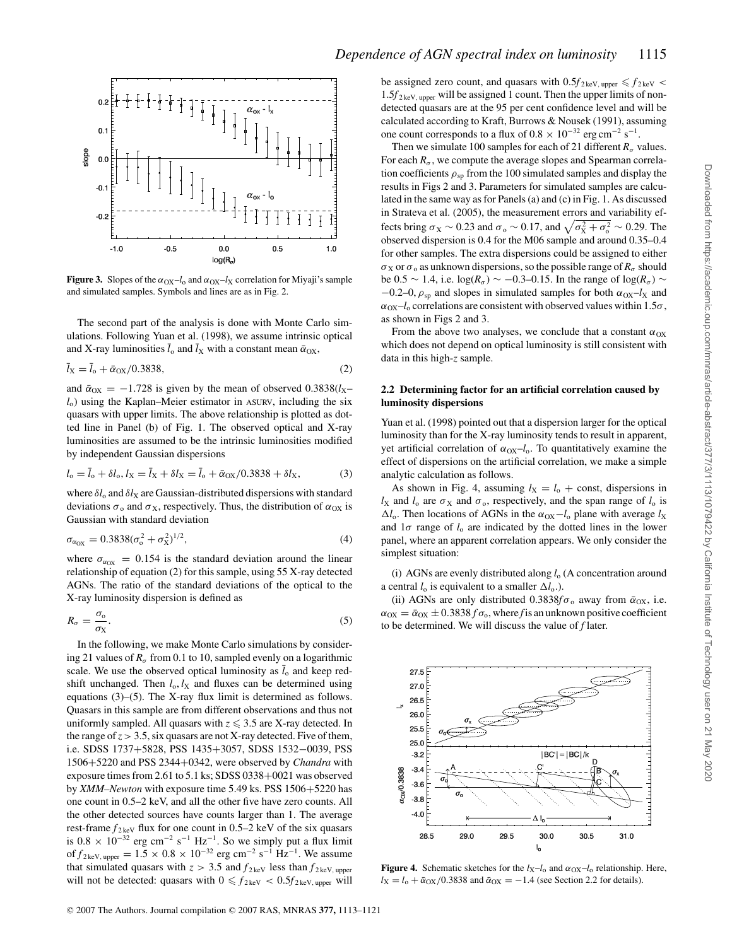

**Figure 3.** Slopes of the  $\alpha_{\text{OX}}-l_0$  and  $\alpha_{\text{OX}}-l_\text{X}$  correlation for Miyaji's sample and simulated samples. Symbols and lines are as in Fig. 2.

The second part of the analysis is done with Monte Carlo simulations. Following Yuan et al. (1998), we assume intrinsic optical and X-ray luminosities  $\bar{l}_0$  and  $\bar{l}_X$  with a constant mean  $\bar{\alpha}_{OX}$ ,

$$
\bar{l}_{X} = \bar{l}_{o} + \bar{\alpha}_{OX}/0.3838,
$$
\n(2)

and  $\bar{\alpha}_{OX} = -1.728$  is given by the mean of observed  $0.3838(l_X$ *l*o) using the Kaplan–Meier estimator in ASURV, including the six quasars with upper limits. The above relationship is plotted as dotted line in Panel (b) of Fig. 1. The observed optical and X-ray luminosities are assumed to be the intrinsic luminosities modified by independent Gaussian dispersions

$$
l_o = \overline{l}_o + \delta l_o, l_X = \overline{l}_X + \delta l_X = \overline{l}_o + \overline{\alpha}_{OX}/0.3838 + \delta l_X,\tag{3}
$$

where  $\delta l_0$  and  $\delta l_X$  are Gaussian-distributed dispersions with standard deviations  $\sigma_0$  and  $\sigma_X$ , respectively. Thus, the distribution of  $\alpha_{OX}$  is Gaussian with standard deviation

$$
\sigma_{\alpha_{\rm OX}} = 0.3838(\sigma_{\rm o}^2 + \sigma_{\rm X}^2)^{1/2},\tag{4}
$$

where  $\sigma_{\alpha_{\text{OX}}} = 0.154$  is the standard deviation around the linear relationship of equation (2) for this sample, using 55 X-ray detected AGNs. The ratio of the standard deviations of the optical to the X-ray luminosity dispersion is defined as

$$
R_{\sigma} = \frac{\sigma_{\rm o}}{\sigma_{\rm X}}.\tag{5}
$$

In the following, we make Monte Carlo simulations by considering 21 values of  $R_{\sigma}$  from 0.1 to 10, sampled evenly on a logarithmic scale. We use the observed optical luminosity as  $\bar{l}_0$  and keep redshift unchanged. Then  $l_0$ ,  $l_X$  and fluxes can be determined using equations (3)–(5). The X-ray flux limit is determined as follows. Quasars in this sample are from different observations and thus not uniformly sampled. All quasars with  $z \leq 3.5$  are X-ray detected. In the range of  $z > 3.5$ , six quasars are not X-ray detected. Five of them, i.e. SDSS 1737+5828, PSS 1435+3057, SDSS 1532−0039, PSS 1506+5220 and PSS 2344+0342, were observed by *Chandra* with exposure times from 2.61 to 5.1 ks; SDSS 0338+0021 was observed by *XMM–Newton* with exposure time 5.49 ks. PSS 1506+5220 has one count in 0.5–2 keV, and all the other five have zero counts. All the other detected sources have counts larger than 1. The average rest-frame  $f_{2\text{keV}}$  flux for one count in 0.5–2 keV of the six quasars is  $0.8 \times 10^{-32}$  erg cm<sup>-2</sup> s<sup>-1</sup> Hz<sup>-1</sup>. So we simply put a flux limit of  $f_{2 \text{ keV, upper}} = 1.5 \times 0.8 \times 10^{-32} \text{ erg cm}^{-2} \text{ s}^{-1} \text{ Hz}^{-1}$ . We assume that simulated quasars with  $z > 3.5$  and  $f_{2\text{keV}}$  less than  $f_{2\text{keV}}$ , upper will not be detected: quasars with  $0 \leq f_{2\text{keV}} < 0.5f_{2\text{keV, upper}}$  will

be assigned zero count, and quasars with  $0.5f_{2 \text{keV, upper}} \le f_{2 \text{keV}}$  $1.5f_{2\text{keV, upper}}$  will be assigned 1 count. Then the upper limits of nondetected quasars are at the 95 per cent confidence level and will be calculated according to Kraft, Burrows & Nousek (1991), assuming one count corresponds to a flux of  $0.8 \times 10^{-32}$  erg cm<sup>-2</sup> s<sup>-1</sup>.

Then we simulate 100 samples for each of 21 different  $R_{\sigma}$  values. For each  $R_{\sigma}$ , we compute the average slopes and Spearman correlation coefficients  $\rho_{\rm SD}$  from the 100 simulated samples and display the results in Figs 2 and 3. Parameters for simulated samples are calculated in the same way as for Panels (a) and (c) in Fig. 1. As discussed in Strateva et al. (2005), the measurement errors and variability effects bring  $\sigma_X \sim 0.23$  and  $\sigma_0 \sim 0.17$ , and  $\sqrt{\sigma_X^2 + \sigma_0^2} \sim 0.29$ . The observed dispersion is 0.4 for the M06 sample and around 0.35–0.4 for other samples. The extra dispersions could be assigned to either  $\sigma_X$  or  $\sigma_0$  as unknown dispersions, so the possible range of  $R_\sigma$  should be  $0.5 \sim 1.4$ , i.e. log( $R_{\sigma}$ ) ~ −0.3–0.15. In the range of log( $R_{\sigma}$ ) ~  $-0.2$ –0,  $\rho_{\rm sn}$  and slopes in simulated samples for both  $\alpha_{\rm OX}$ –*l*<sub>X</sub> and  $\alpha_{\text{OX}}-l_0$  correlations are consistent with observed values within 1.5 $\sigma$ , as shown in Figs 2 and 3.

From the above two analyses, we conclude that a constant  $\alpha_{OX}$ which does not depend on optical luminosity is still consistent with data in this high-*z* sample.

#### **2.2 Determining factor for an artificial correlation caused by luminosity dispersions**

Yuan et al. (1998) pointed out that a dispersion larger for the optical luminosity than for the X-ray luminosity tends to result in apparent, yet artificial correlation of  $\alpha_{\text{OX}}-l_{\text{o}}$ . To quantitatively examine the effect of dispersions on the artificial correlation, we make a simple analytic calculation as follows.

As shown in Fig. 4, assuming  $l_X = l_0 + \text{const}$ , dispersions in  $l_X$  and  $l_o$  are  $\sigma_X$  and  $\sigma_o$ , respectively, and the span range of  $l_o$  is  $\Delta l_o$ . Then locations of AGNs in the  $\alpha_{OX} - l_o$  plane with average  $l_X$ and  $1\sigma$  range of  $l_0$  are indicated by the dotted lines in the lower panel, where an apparent correlation appears. We only consider the simplest situation:

(i) AGNs are evenly distributed along *l*<sup>o</sup> (A concentration around a central  $l_0$  is equivalent to a smaller  $\Delta l_0$ .).

(ii) AGNs are only distributed  $0.3838f\sigma_0$  away from  $\bar{\alpha}_{OX}$ , i.e.  $\alpha_{\text{OX}} = \bar{\alpha}_{\text{OX}} \pm 0.3838 f \sigma_{\text{o}}$ , where *f* is an unknown positive coefficient to be determined. We will discuss the value of *f* later.



**Figure 4.** Schematic sketches for the  $l_X-l_0$  and  $\alpha_{OX}-l_0$  relationship. Here,  $l_X = l_o + \bar{\alpha}_{OX}/0.3838$  and  $\bar{\alpha}_{OX} = -1.4$  (see Section 2.2 for details).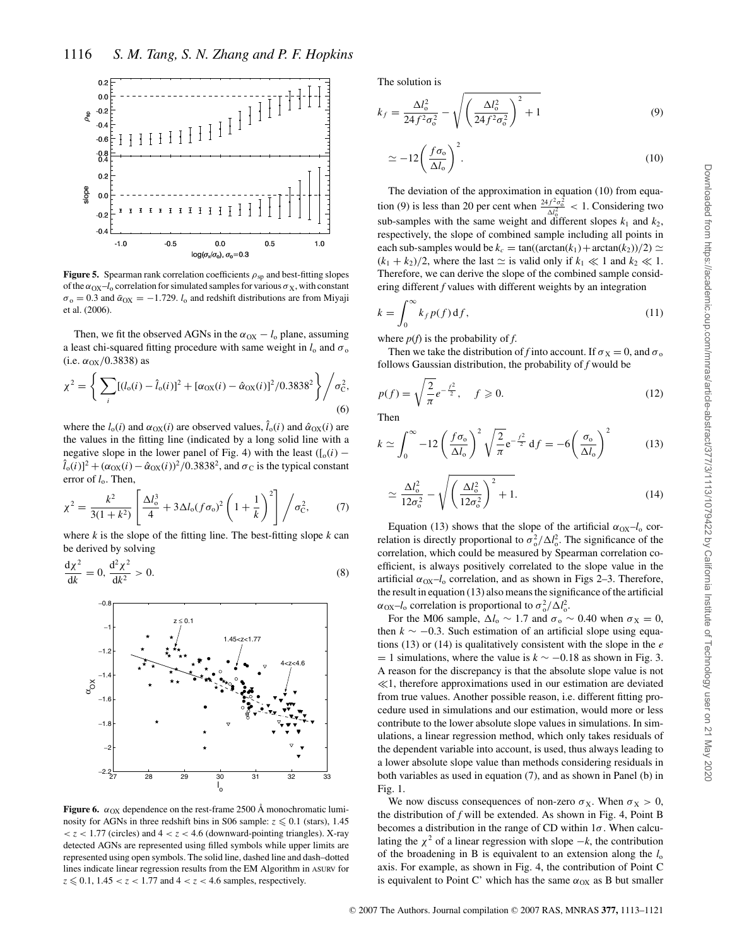

**Figure 5.** Spearman rank correlation coefficients  $\rho_{sp}$  and best-fitting slopes of the  $\alpha_{\text{OX}}-l_0$  correlation for simulated samples for various  $\sigma_X$ , with constant  $\sigma_0 = 0.3$  and  $\bar{\alpha}_{OX} = -1.729$ . *l*<sub>o</sub> and redshift distributions are from Miyaji et al. (2006).

Then, we fit the observed AGNs in the  $\alpha_{OX} - l_o$  plane, assuming a least chi-squared fitting procedure with same weight in  $l_0$  and  $\sigma_0$ (i.e.  $\alpha_{OX}/0.3838$ ) as

$$
\chi^{2} = \left\{ \sum_{i} [(l_{o}(i) - \hat{l}_{o}(i))^{2} + [\alpha_{\text{OX}}(i) - \hat{\alpha}_{\text{OX}}(i)]^{2}/0.3838^{2} \right\} / \sigma_{\text{C}}^{2},
$$
\n(6)

where the  $l_o(i)$  and  $\alpha_{OX}(i)$  are observed values,  $\hat{l}_o(i)$  and  $\hat{\alpha}_{OX}(i)$  are the values in the fitting line (indicated by a long solid line with a negative slope in the lower panel of Fig. 4) with the least  $([o(i) (\hat{l}_o(i))^2 + (\alpha_{OX}(i) - \hat{\alpha}_{OX}(i))^2/0.3838^2$ , and  $\sigma_C$  is the typical constant error of  $l_0$ . Then,

$$
\chi^2 = \frac{k^2}{3(1+k^2)} \left[ \frac{\Delta l_0^3}{4} + 3\Delta l_0 (f\sigma_0)^2 \left( 1 + \frac{1}{k} \right)^2 \right] / \sigma_{\rm C}^2, \tag{7}
$$

where *k* is the slope of the fitting line. The best-fitting slope *k* can be derived by solving

$$
\frac{\mathrm{d}\chi^2}{\mathrm{d}k} = 0, \frac{\mathrm{d}^2\chi^2}{\mathrm{d}k^2} > 0. \tag{8}
$$



**Figure 6.**  $\alpha_{OX}$  dependence on the rest-frame 2500 Å monochromatic luminosity for AGNs in three redshift bins in S06 sample:  $z \le 0.1$  (stars), 1.45  $<$  *z* < 1.77 (circles) and  $4 <$  *z* < 4.6 (downward-pointing triangles). X-ray detected AGNs are represented using filled symbols while upper limits are represented using open symbols. The solid line, dashed line and dash–dotted lines indicate linear regression results from the EM Algorithm in ASURV for  $z \le 0.1$ ,  $1.45 < z < 1.77$  and  $4 < z < 4.6$  samples, respectively.

The solution is

$$
k_f = \frac{\Delta l_o^2}{24f^2\sigma_o^2} - \sqrt{\left(\frac{\Delta l_o^2}{24f^2\sigma_o^2}\right)^2 + 1}
$$
(9)

$$
\simeq -12\left(\frac{f\sigma_o}{\Delta l_o}\right)^2.\tag{10}
$$

The deviation of the approximation in equation (10) from equation (9) is less than 20 per cent when  $\frac{24f^2\sigma_0^2}{\Delta l_0^2}$  < 1. Considering two sub-samples with the same weight and different slopes  $k_1$  and  $k_2$ , respectively, the slope of combined sample including all points in each sub-samples would be  $k_c = \tan((\arctan(k_1) + \arctan(k_2))/2) \simeq$  $(k_1 + k_2)/2$ , where the last  $\simeq$  is valid only if  $k_1 \ll 1$  and  $k_2 \ll 1$ . Therefore, we can derive the slope of the combined sample considering different *f* values with different weights by an integration

$$
k = \int_0^\infty k_f p(f) \, \mathrm{d}f,\tag{11}
$$

where  $p(f)$  is the probability of  $f$ .

Then we take the distribution of *f* into account. If  $\sigma_X = 0$ , and  $\sigma_0$ follows Gaussian distribution, the probability of *f* would be

$$
p(f) = \sqrt{\frac{2}{\pi}} e^{-\frac{f^2}{2}}, \quad f \ge 0.
$$
 (12)

Then

$$
k \simeq \int_0^\infty -12 \left(\frac{f\sigma_0}{\Delta l_0}\right)^2 \sqrt{\frac{2}{\pi}} e^{-\frac{f^2}{2}} df = -6 \left(\frac{\sigma_0}{\Delta l_0}\right)^2 \tag{13}
$$

$$
\simeq \frac{\Delta l_o^2}{12\sigma_o^2} - \sqrt{\left(\frac{\Delta l_o^2}{12\sigma_o^2}\right)^2 + 1}.
$$
\n(14)

Equation (13) shows that the slope of the artificial  $\alpha_{\text{OX}}-l_{\text{o}}$  correlation is directly proportional to  $\sigma_0^2 / \Delta l_0^2$ . The significance of the correlation, which could be measured by Spearman correlation coefficient, is always positively correlated to the slope value in the artificial  $\alpha_{\text{OX}}-l_0$  correlation, and as shown in Figs 2–3. Therefore, the result in equation (13) also means the significance of the artificial  $\alpha_{\text{OX}} - l_{\text{o}}$  correlation is proportional to  $\sigma_{\text{o}}^2 / \Delta l_{\text{o}}^2$ .

For the M06 sample,  $\Delta l_0 \sim 1.7$  and  $\sigma_0 \sim 0.40$  when  $\sigma_X = 0$ , then *k* ∼ −0.3. Such estimation of an artificial slope using equations (13) or (14) is qualitatively consistent with the slope in the *e*  $= 1$  simulations, where the value is  $k \sim -0.18$  as shown in Fig. 3. A reason for the discrepancy is that the absolute slope value is not  $\ll$ 1, therefore approximations used in our estimation are deviated from true values. Another possible reason, i.e. different fitting procedure used in simulations and our estimation, would more or less contribute to the lower absolute slope values in simulations. In simulations, a linear regression method, which only takes residuals of the dependent variable into account, is used, thus always leading to a lower absolute slope value than methods considering residuals in both variables as used in equation (7), and as shown in Panel (b) in Fig. 1.

We now discuss consequences of non-zero  $\sigma_X$ . When  $\sigma_X > 0$ , the distribution of *f* will be extended. As shown in Fig. 4, Point B becomes a distribution in the range of CD within  $1\sigma$ . When calculating the  $\chi^2$  of a linear regression with slope  $-k$ , the contribution of the broadening in B is equivalent to an extension along the  $l_0$ axis. For example, as shown in Fig. 4, the contribution of Point C is equivalent to Point C' which has the same  $\alpha_{OX}$  as B but smaller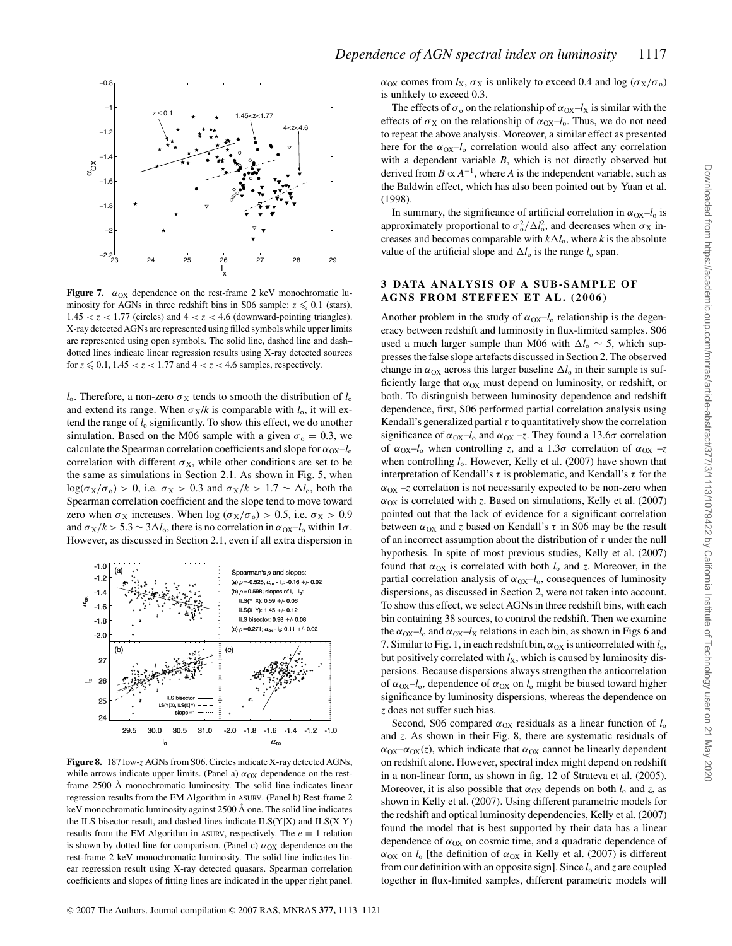

**Figure 7.**  $\alpha_{OX}$  dependence on the rest-frame 2 keV monochromatic luminosity for AGNs in three redshift bins in S06 sample:  $z \le 0.1$  (stars),  $1.45 < z < 1.77$  (circles) and  $4 < z < 4.6$  (downward-pointing triangles). X-ray detected AGNs are represented using filled symbols while upper limits are represented using open symbols. The solid line, dashed line and dash– dotted lines indicate linear regression results using X-ray detected sources for  $z \le 0.1$ ,  $1.45 < z < 1.77$  and  $4 < z < 4.6$  samples, respectively.

*l*<sub>o</sub>. Therefore, a non-zero  $\sigma_X$  tends to smooth the distribution of  $l_0$ and extend its range. When  $\sigma_X/k$  is comparable with  $l_0$ , it will extend the range of *l*<sup>o</sup> significantly. To show this effect, we do another simulation. Based on the M06 sample with a given  $\sigma_0 = 0.3$ , we calculate the Spearman correlation coefficients and slope for  $\alpha_{OX}$ –*l*<sub>o</sub> correlation with different  $\sigma_X$ , while other conditions are set to be the same as simulations in Section 2.1. As shown in Fig. 5, when  $log(\sigma_X/\sigma_o) > 0$ , i.e.  $\sigma_X > 0.3$  and  $\sigma_X/k > 1.7 \sim \Delta l_o$ , both the Spearman correlation coefficient and the slope tend to move toward zero when  $\sigma_X$  increases. When  $\log (\sigma_X/\sigma_0) > 0.5$ , i.e.  $\sigma_X > 0.9$ and  $\sigma_X/k > 5.3 \sim 3 \Delta l_o$ , there is no correlation in  $\alpha_{OX} - l_o$  within  $1\sigma$ . However, as discussed in Section 2.1, even if all extra dispersion in



**Figure 8.** 187 low-*z* AGNs from S06. Circles indicate X-ray detected AGNs, while arrows indicate upper limits. (Panel a)  $\alpha_{OX}$  dependence on the restframe 2500 Å monochromatic luminosity. The solid line indicates linear regression results from the EM Algorithm in ASURV. (Panel b) Rest-frame 2 keV monochromatic luminosity against 2500 Å one. The solid line indicates the ILS bisector result, and dashed lines indicate ILS(Y|X) and ILS(X|Y) results from the EM Algorithm in ASURV, respectively. The  $e = 1$  relation is shown by dotted line for comparison. (Panel c)  $\alpha_{OX}$  dependence on the rest-frame 2 keV monochromatic luminosity. The solid line indicates linear regression result using X-ray detected quasars. Spearman correlation coefficients and slopes of fitting lines are indicated in the upper right panel.

 $\alpha_{\rm OX}$  comes from  $l_{\rm X}$ ,  $\sigma_{\rm X}$  is unlikely to exceed 0.4 and log ( $\sigma_{\rm X}/\sigma_{\rm o}$ ) is unlikely to exceed 0.3.

The effects of  $\sigma_0$  on the relationship of  $\alpha_{\text{OX}}-l_X$  is similar with the effects of  $\sigma_X$  on the relationship of  $\alpha_{OX} - l_o$ . Thus, we do not need to repeat the above analysis. Moreover, a similar effect as presented here for the  $\alpha_{\text{OX}}-l_0$  correlation would also affect any correlation with a dependent variable *B*, which is not directly observed but derived from  $B \propto A^{-1}$ , where *A* is the independent variable, such as the Baldwin effect, which has also been pointed out by Yuan et al. (1998).

In summary, the significance of artificial correlation in  $\alpha_{OX} - l_0$  is approximately proportional to  $\sigma_o^2 / \Delta l_o^2$ , and decreases when  $\sigma_X$  increases and becomes comparable with  $k\Delta l_o$ , where *k* is the absolute value of the artificial slope and  $\Delta l_0$  is the range  $l_0$  span.

## **3 DATA ANALYSIS OF A SUB-SAMPLE OF AGNS FROM STEFFEN ET AL. (2006)**

Another problem in the study of  $\alpha_{OX}$ –*l*<sub>o</sub> relationship is the degeneracy between redshift and luminosity in flux-limited samples. S06 used a much larger sample than M06 with  $\Delta l_o \sim 5$ , which suppresses the false slope artefacts discussed in Section 2. The observed change in  $\alpha_{OX}$  across this larger baseline  $\Delta l_0$  in their sample is sufficiently large that  $\alpha_{OX}$  must depend on luminosity, or redshift, or both. To distinguish between luminosity dependence and redshift dependence, first, S06 performed partial correlation analysis using Kendall's generalized partial  $\tau$  to quantitatively show the correlation significance of  $\alpha_{\text{OX}} - l_0$  and  $\alpha_{\text{OX}} - z$ . They found a 13.6 $\sigma$  correlation of  $\alpha_{\text{OX}}-l_0$  when controlling *z*, and a 1.3 $\sigma$  correlation of  $\alpha_{\text{OX}}-z$ when controlling  $l_0$ . However, Kelly et al. (2007) have shown that interpretation of Kendall's  $\tau$  is problematic, and Kendall's  $\tau$  for the  $\alpha_{\text{OX}}$  –*z* correlation is not necessarily expected to be non-zero when  $\alpha_{\text{OX}}$  is correlated with *z*. Based on simulations, Kelly et al. (2007) pointed out that the lack of evidence for a significant correlation between  $\alpha_{\text{OX}}$  and *z* based on Kendall's  $\tau$  in S06 may be the result of an incorrect assumption about the distribution of  $\tau$  under the null hypothesis. In spite of most previous studies, Kelly et al. (2007) found that  $\alpha_{OX}$  is correlated with both  $l_0$  and *z*. Moreover, in the partial correlation analysis of  $\alpha_{\text{OX}}-l_{\text{o}}$ , consequences of luminosity dispersions, as discussed in Section 2, were not taken into account. To show this effect, we select AGNs in three redshift bins, with each bin containing 38 sources, to control the redshift. Then we examine the  $\alpha_{\text{OX}}-l_0$  and  $\alpha_{\text{OX}}-l_{\text{X}}$  relations in each bin, as shown in Figs 6 and 7. Similar to Fig. 1, in each redshift bin,  $\alpha_{OX}$  is anticorrelated with  $l_0$ , but positively correlated with  $l_X$ , which is caused by luminosity dispersions. Because dispersions always strengthen the anticorrelation of  $\alpha_{\text{OX}}-l_0$ , dependence of  $\alpha_{\text{OX}}$  on  $l_0$  might be biased toward higher significance by luminosity dispersions, whereas the dependence on *z* does not suffer such bias.

Second, S06 compared  $\alpha_{OX}$  residuals as a linear function of  $l_0$ and *z*. As shown in their Fig. 8, there are systematic residuals of  $\alpha_{\text{OX}} - \alpha_{\text{OX}}(z)$ , which indicate that  $\alpha_{\text{OX}}$  cannot be linearly dependent on redshift alone. However, spectral index might depend on redshift in a non-linear form, as shown in fig. 12 of Strateva et al. (2005). Moreover, it is also possible that  $\alpha_{OX}$  depends on both  $l_0$  and  $z$ , as shown in Kelly et al. (2007). Using different parametric models for the redshift and optical luminosity dependencies, Kelly et al. (2007) found the model that is best supported by their data has a linear dependence of  $\alpha_{OX}$  on cosmic time, and a quadratic dependence of  $\alpha_{\text{OX}}$  on  $l_0$  [the definition of  $\alpha_{\text{OX}}$  in Kelly et al. (2007) is different from our definition with an opposite sign]. Since *l*<sup>o</sup> and *z* are coupled together in flux-limited samples, different parametric models will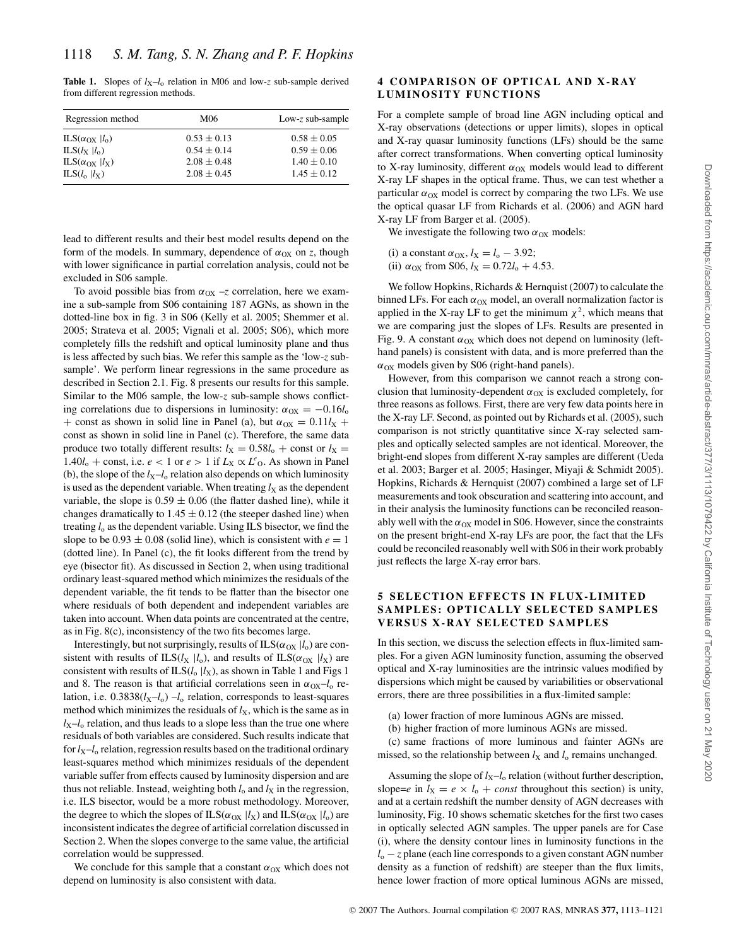**Table 1.** Slopes of  $l_X-l_0$  relation in M06 and low-*z* sub-sample derived from different regression methods.

| Regression method                         | M06             | Low-z sub-sample |
|-------------------------------------------|-----------------|------------------|
| ILS $(\alpha_{\text{OX}}   l_{\text{o}})$ | $0.53 \pm 0.13$ | $0.58 \pm 0.05$  |
| $ILS(lx   l_0)$                           | $0.54 \pm 0.14$ | $0.59 \pm 0.06$  |
| ILS $(\alpha_{OX}   l_X)$                 | $2.08 \pm 0.48$ | $1.40 \pm 0.10$  |
| $ILS(l_0   l_X)$                          | $2.08 \pm 0.45$ | $1.45 \pm 0.12$  |

lead to different results and their best model results depend on the form of the models. In summary, dependence of  $\alpha_{OX}$  on *z*, though with lower significance in partial correlation analysis, could not be excluded in S06 sample.

To avoid possible bias from  $\alpha_{OX}$  –*z* correlation, here we examine a sub-sample from S06 containing 187 AGNs, as shown in the dotted-line box in fig. 3 in S06 (Kelly et al. 2005; Shemmer et al. 2005; Strateva et al. 2005; Vignali et al. 2005; S06), which more completely fills the redshift and optical luminosity plane and thus is less affected by such bias. We refer this sample as the 'low-*z* subsample'. We perform linear regressions in the same procedure as described in Section 2.1. Fig. 8 presents our results for this sample. Similar to the M06 sample, the low-*z* sub-sample shows conflicting correlations due to dispersions in luminosity:  $\alpha_{\text{OX}} = -0.16l_{\text{o}}$ + const as shown in solid line in Panel (a), but  $\alpha_{\text{OX}} = 0.11 l_{\text{X}}$  + const as shown in solid line in Panel (c). Therefore, the same data produce two totally different results:  $l_X = 0.58l_0 + \text{const}$  or  $l_X =$ 1.40 $l_0$  + const, i.e.  $e < 1$  or  $e > 1$  if  $L_X \propto L^e$ <sub>O</sub>. As shown in Panel (b), the slope of the  $l_X - l_0$  relation also depends on which luminosity is used as the dependent variable. When treating  $l_X$  as the dependent variable, the slope is  $0.59 \pm 0.06$  (the flatter dashed line), while it changes dramatically to  $1.45 \pm 0.12$  (the steeper dashed line) when treating *l*<sup>o</sup> as the dependent variable. Using ILS bisector, we find the slope to be  $0.93 \pm 0.08$  (solid line), which is consistent with  $e = 1$ (dotted line). In Panel (c), the fit looks different from the trend by eye (bisector fit). As discussed in Section 2, when using traditional ordinary least-squared method which minimizes the residuals of the dependent variable, the fit tends to be flatter than the bisector one where residuals of both dependent and independent variables are taken into account. When data points are concentrated at the centre, as in Fig. 8(c), inconsistency of the two fits becomes large.

Interestingly, but not surprisingly, results of  $ILS(\alpha_{OX} | l_0)$  are consistent with results of ILS( $l_X$  | $l_o$ ), and results of ILS( $\alpha_{OX}$  | $l_X$ ) are consistent with results of  $ILS(l_0 | l_X)$ , as shown in Table 1 and Figs 1 and 8. The reason is that artificial correlations seen in  $\alpha_{\text{OX}}-l_{\text{o}}$  relation, i.e.  $0.3838(l_{X}-l_{0}) - l_{o}$  relation, corresponds to least-squares method which minimizes the residuals of  $l<sub>X</sub>$ , which is the same as in  $l_X-l_0$  relation, and thus leads to a slope less than the true one where residuals of both variables are considered. Such results indicate that for  $l_X-l_0$  relation, regression results based on the traditional ordinary least-squares method which minimizes residuals of the dependent variable suffer from effects caused by luminosity dispersion and are thus not reliable. Instead, weighting both  $l_0$  and  $l_X$  in the regression, i.e. ILS bisector, would be a more robust methodology. Moreover, the degree to which the slopes of ILS( $\alpha_{OX}$  | $l_X$ ) and ILS( $\alpha_{OX}$  | $l_o$ ) are inconsistent indicates the degree of artificial correlation discussed in Section 2. When the slopes converge to the same value, the artificial correlation would be suppressed.

We conclude for this sample that a constant  $\alpha_{OX}$  which does not depend on luminosity is also consistent with data.

## **4 COMPARISON OF OPTICAL AND X-RAY LUMINOSITY FUNCTIONS**

For a complete sample of broad line AGN including optical and X-ray observations (detections or upper limits), slopes in optical and X-ray quasar luminosity functions (LFs) should be the same after correct transformations. When converting optical luminosity to X-ray luminosity, different  $\alpha_{OX}$  models would lead to different X-ray LF shapes in the optical frame. Thus, we can test whether a particular  $\alpha_{OX}$  model is correct by comparing the two LFs. We use the optical quasar LF from Richards et al. (2006) and AGN hard X-ray LF from Barger et al. (2005).

We investigate the following two  $\alpha_{OX}$  models:

- (i) a constant  $\alpha_{OX}$ ,  $l_X = l_o 3.92$ ;
- (ii)  $\alpha_{OX}$  from S06,  $l_X = 0.72l_0 + 4.53$ .

We follow Hopkins, Richards & Hernquist (2007) to calculate the binned LFs. For each  $\alpha_{OX}$  model, an overall normalization factor is applied in the X-ray LF to get the minimum  $\chi^2$ , which means that we are comparing just the slopes of LFs. Results are presented in Fig. 9. A constant  $\alpha_{OX}$  which does not depend on luminosity (lefthand panels) is consistent with data, and is more preferred than the  $\alpha_{OX}$  models given by S06 (right-hand panels).

However, from this comparison we cannot reach a strong conclusion that luminosity-dependent  $\alpha_{OX}$  is excluded completely, for three reasons as follows. First, there are very few data points here in the X-ray LF. Second, as pointed out by Richards et al. (2005), such comparison is not strictly quantitative since X-ray selected samples and optically selected samples are not identical. Moreover, the bright-end slopes from different X-ray samples are different (Ueda et al. 2003; Barger et al. 2005; Hasinger, Miyaji & Schmidt 2005). Hopkins, Richards & Hernquist (2007) combined a large set of LF measurements and took obscuration and scattering into account, and in their analysis the luminosity functions can be reconciled reasonably well with the  $\alpha_{OX}$  model in S06. However, since the constraints on the present bright-end X-ray LFs are poor, the fact that the LFs could be reconciled reasonably well with S06 in their work probably just reflects the large X-ray error bars.

## **5 SELECTION EFFECTS IN FLUX-LIMITED SAMPLES: OPTICALLY SELECTED SAMPLES VERSUS X-RAY SELECTED SAMPLES**

In this section, we discuss the selection effects in flux-limited samples. For a given AGN luminosity function, assuming the observed optical and X-ray luminosities are the intrinsic values modified by dispersions which might be caused by variabilities or observational errors, there are three possibilities in a flux-limited sample:

- (a) lower fraction of more luminous AGNs are missed.
- (b) higher fraction of more luminous AGNs are missed.

(c) same fractions of more luminous and fainter AGNs are missed, so the relationship between  $l_X$  and  $l_0$  remains unchanged.

Assuming the slope of  $l_X-l_0$  relation (without further description, slope=*e* in  $l_X = e \times l_0 + const$  throughout this section) is unity, and at a certain redshift the number density of AGN decreases with luminosity, Fig. 10 shows schematic sketches for the first two cases in optically selected AGN samples. The upper panels are for Case (i), where the density contour lines in luminosity functions in the *l*<sub>o</sub> − *z* plane (each line corresponds to a given constant AGN number density as a function of redshift) are steeper than the flux limits, hence lower fraction of more optical luminous AGNs are missed,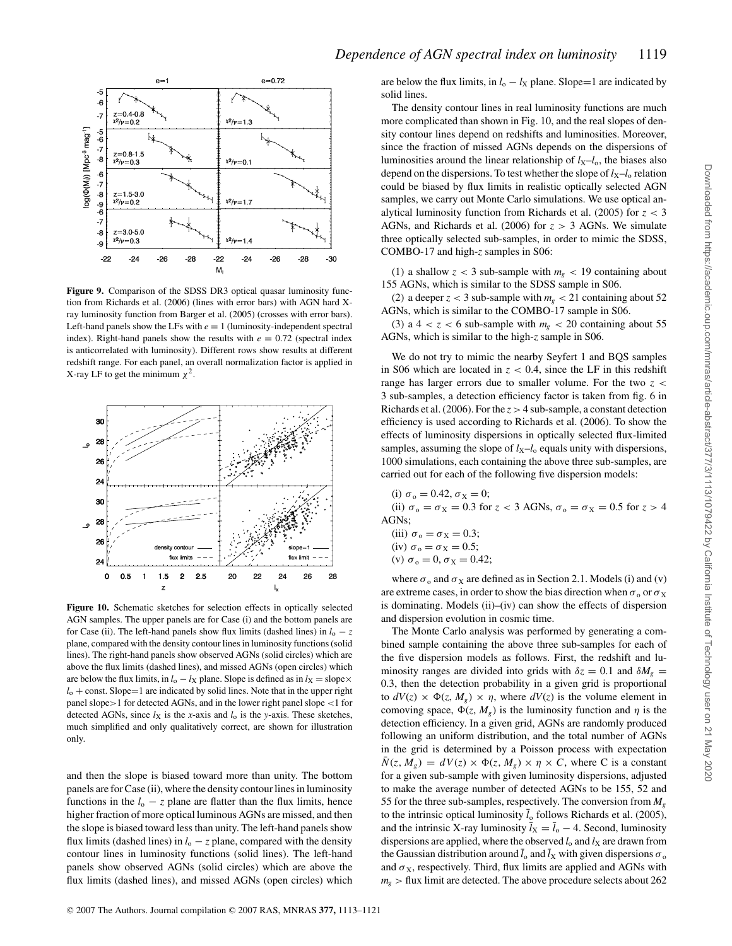

**Figure 9.** Comparison of the SDSS DR3 optical quasar luminosity function from Richards et al. (2006) (lines with error bars) with AGN hard Xray luminosity function from Barger et al. (2005) (crosses with error bars). Left-hand panels show the LFs with  $e = 1$  (luminosity-independent spectral index). Right-hand panels show the results with  $e = 0.72$  (spectral index is anticorrelated with luminosity). Different rows show results at different redshift range. For each panel, an overall normalization factor is applied in X-ray LF to get the minimum  $\chi^2$ .



**Figure 10.** Schematic sketches for selection effects in optically selected AGN samples. The upper panels are for Case (i) and the bottom panels are for Case (ii). The left-hand panels show flux limits (dashed lines) in  $l_0 - z$ plane, compared with the density contour lines in luminosity functions (solid lines). The right-hand panels show observed AGNs (solid circles) which are above the flux limits (dashed lines), and missed AGNs (open circles) which are below the flux limits, in  $l_0 - l_X$  plane. Slope is defined as in  $l_X =$  slope $\times$  $l_0$  + const. Slope=1 are indicated by solid lines. Note that in the upper right panel slope>1 for detected AGNs, and in the lower right panel slope <1 for detected AGNs, since  $l_X$  is the *x*-axis and  $l_0$  is the *y*-axis. These sketches, much simplified and only qualitatively correct, are shown for illustration only.

and then the slope is biased toward more than unity. The bottom panels are for Case (ii), where the density contour lines in luminosity functions in the  $l_0 - z$  plane are flatter than the flux limits, hence higher fraction of more optical luminous AGNs are missed, and then the slope is biased toward less than unity. The left-hand panels show flux limits (dashed lines) in  $l_0 - z$  plane, compared with the density contour lines in luminosity functions (solid lines). The left-hand panels show observed AGNs (solid circles) which are above the flux limits (dashed lines), and missed AGNs (open circles) which are below the flux limits, in  $l_0 - l_X$  plane. Slope=1 are indicated by solid lines.

The density contour lines in real luminosity functions are much more complicated than shown in Fig. 10, and the real slopes of density contour lines depend on redshifts and luminosities. Moreover, since the fraction of missed AGNs depends on the dispersions of luminosities around the linear relationship of  $l_X-l_0$ , the biases also depend on the dispersions. To test whether the slope of  $l_x-l_0$  relation could be biased by flux limits in realistic optically selected AGN samples, we carry out Monte Carlo simulations. We use optical analytical luminosity function from Richards et al. (2005) for *z* < 3 AGNs, and Richards et al. (2006) for *z* > 3 AGNs. We simulate three optically selected sub-samples, in order to mimic the SDSS, COMBO-17 and high-*z* samples in S06:

(1) a shallow  $z < 3$  sub-sample with  $m<sub>g</sub> < 19$  containing about 155 AGNs, which is similar to the SDSS sample in S06.

(2) a deeper  $z < 3$  sub-sample with  $m<sub>g</sub> < 21$  containing about 52 AGNs, which is similar to the COMBO-17 sample in S06.

(3) a  $4 < z < 6$  sub-sample with  $m<sub>p</sub> < 20$  containing about 55 AGNs, which is similar to the high-*z* sample in S06.

We do not try to mimic the nearby Seyfert 1 and BQS samples in S06 which are located in  $z < 0.4$ , since the LF in this redshift range has larger errors due to smaller volume. For the two *z* < 3 sub-samples, a detection efficiency factor is taken from fig. 6 in Richards et al. (2006). For the  $z > 4$  sub-sample, a constant detection efficiency is used according to Richards et al. (2006). To show the effects of luminosity dispersions in optically selected flux-limited samples, assuming the slope of  $l_X-l_0$  equals unity with dispersions, 1000 simulations, each containing the above three sub-samples, are carried out for each of the following five dispersion models:

- (i)  $\sigma_0 = 0.42, \sigma_X = 0;$ (ii)  $\sigma_0 = \sigma_X = 0.3$  for  $z < 3$  AGNs,  $\sigma_0 = \sigma_X = 0.5$  for  $z > 4$ AGNs;
	- (iii)  $\sigma_{\rm o} = \sigma_{\rm X} = 0.3$ ; (iv)  $\sigma_0 = \sigma_X = 0.5$ ; (v)  $\sigma_0 = 0$ ,  $\sigma_X = 0.42$ ;

where  $\sigma_0$  and  $\sigma_X$  are defined as in Section 2.1. Models (i) and (v) are extreme cases, in order to show the bias direction when  $\sigma_0$  or  $\sigma_X$ is dominating. Models (ii)–(iv) can show the effects of dispersion and dispersion evolution in cosmic time.

The Monte Carlo analysis was performed by generating a combined sample containing the above three sub-samples for each of the five dispersion models as follows. First, the redshift and luminosity ranges are divided into grids with  $\delta z = 0.1$  and  $\delta M_g =$ 0.3, then the detection probability in a given grid is proportional to  $dV(z) \times \Phi(z, M_g) \times \eta$ , where  $dV(z)$  is the volume element in comoving space,  $\Phi(z, M_g)$  is the luminosity function and  $\eta$  is the detection efficiency. In a given grid, AGNs are randomly produced following an uniform distribution, and the total number of AGNs in the grid is determined by a Poisson process with expectation  $\bar{N}(z, M_g) = dV(z) \times \Phi(z, M_g) \times \eta \times C$ , where C is a constant for a given sub-sample with given luminosity dispersions, adjusted to make the average number of detected AGNs to be 155, 52 and 55 for the three sub-samples, respectively. The conversion from *Mg* to the intrinsic optical luminosity  $\bar{l}_0$  follows Richards et al. (2005), and the intrinsic X-ray luminosity  $\bar{l}_X = \bar{l}_0 - 4$ . Second, luminosity dispersions are applied, where the observed  $l_0$  and  $l_X$  are drawn from the Gaussian distribution around  $\bar{l}_0$  and  $\bar{l}_X$  with given dispersions  $\sigma_0$ and  $\sigma_X$ , respectively. Third, flux limits are applied and AGNs with  $m<sub>g</sub>$  > flux limit are detected. The above procedure selects about 262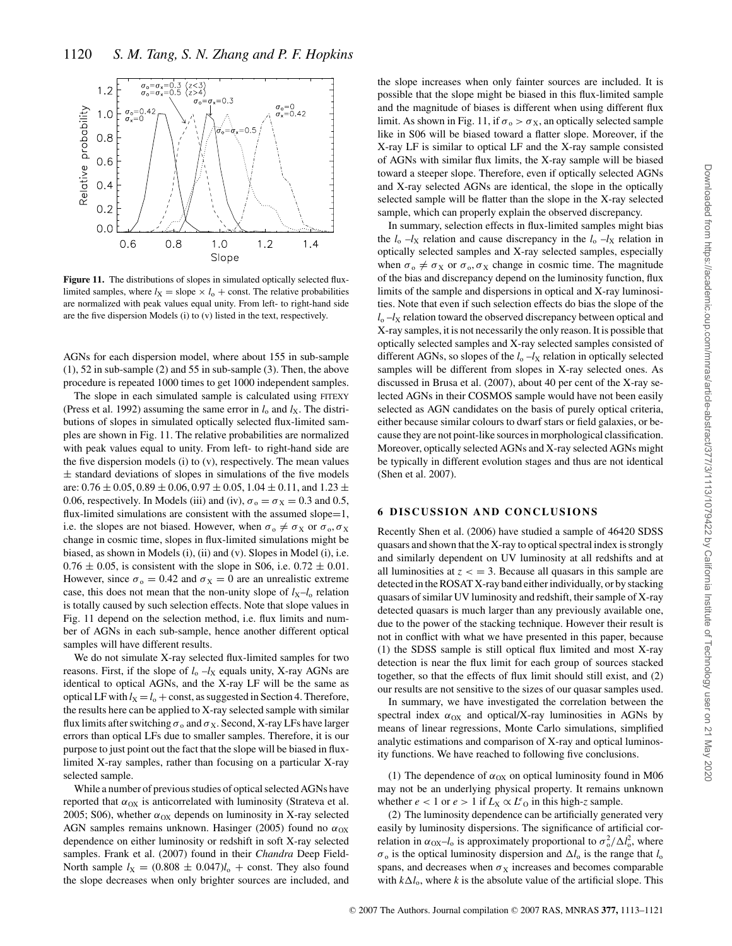

Figure 11. The distributions of slopes in simulated optically selected fluxlimited samples, where  $l_X =$  slope  $\times l_0 +$  const. The relative probabilities are normalized with peak values equal unity. From left- to right-hand side are the five dispersion Models (i) to (v) listed in the text, respectively.

AGNs for each dispersion model, where about 155 in sub-sample (1), 52 in sub-sample (2) and 55 in sub-sample (3). Then, the above procedure is repeated 1000 times to get 1000 independent samples.

The slope in each simulated sample is calculated using FITEXY (Press et al. 1992) assuming the same error in  $l_0$  and  $l_X$ . The distributions of slopes in simulated optically selected flux-limited samples are shown in Fig. 11. The relative probabilities are normalized with peak values equal to unity. From left- to right-hand side are the five dispersion models (i) to (v), respectively. The mean values  $\pm$  standard deviations of slopes in simulations of the five models are:  $0.76 \pm 0.05$ ,  $0.89 \pm 0.06$ ,  $0.97 \pm 0.05$ ,  $1.04 \pm 0.11$ , and  $1.23 \pm 0.05$ 0.06, respectively. In Models (iii) and (iv),  $\sigma_0 = \sigma_X = 0.3$  and 0.5, flux-limited simulations are consistent with the assumed slope=1, i.e. the slopes are not biased. However, when  $\sigma_0 \neq \sigma_X$  or  $\sigma_0$ ,  $\sigma_X$ change in cosmic time, slopes in flux-limited simulations might be biased, as shown in Models (i), (ii) and (v). Slopes in Model (i), i.e.  $0.76 \pm 0.05$ , is consistent with the slope in S06, i.e.  $0.72 \pm 0.01$ . However, since  $\sigma_0 = 0.42$  and  $\sigma_X = 0$  are an unrealistic extreme case, this does not mean that the non-unity slope of  $l_X-l_0$  relation is totally caused by such selection effects. Note that slope values in Fig. 11 depend on the selection method, i.e. flux limits and number of AGNs in each sub-sample, hence another different optical samples will have different results.

We do not simulate X-ray selected flux-limited samples for two reasons. First, if the slope of  $l_0 - l_X$  equals unity, X-ray AGNs are identical to optical AGNs, and the X-ray LF will be the same as optical LF with  $l_X = l_0 + const$ , as suggested in Section 4. Therefore, the results here can be applied to X-ray selected sample with similar flux limits after switching  $\sigma_0$  and  $\sigma_X$ . Second, X-ray LFs have larger errors than optical LFs due to smaller samples. Therefore, it is our purpose to just point out the fact that the slope will be biased in fluxlimited X-ray samples, rather than focusing on a particular X-ray selected sample.

While a number of previous studies of optical selected AGNs have reported that  $\alpha_{OX}$  is anticorrelated with luminosity (Strateva et al. 2005; S06), whether  $\alpha_{OX}$  depends on luminosity in X-ray selected AGN samples remains unknown. Hasinger (2005) found no  $\alpha_{OX}$ dependence on either luminosity or redshift in soft X-ray selected samples. Frank et al. (2007) found in their *Chandra* Deep Field-North sample  $l_X = (0.808 \pm 0.047)l_0 + \text{const.}$  They also found the slope decreases when only brighter sources are included, and

the slope increases when only fainter sources are included. It is possible that the slope might be biased in this flux-limited sample and the magnitude of biases is different when using different flux limit. As shown in Fig. 11, if  $\sigma_0 > \sigma_X$ , an optically selected sample like in S06 will be biased toward a flatter slope. Moreover, if the X-ray LF is similar to optical LF and the X-ray sample consisted of AGNs with similar flux limits, the X-ray sample will be biased toward a steeper slope. Therefore, even if optically selected AGNs and X-ray selected AGNs are identical, the slope in the optically selected sample will be flatter than the slope in the X-ray selected sample, which can properly explain the observed discrepancy.

In summary, selection effects in flux-limited samples might bias the  $l_0$  – $l_X$  relation and cause discrepancy in the  $l_0$  – $l_X$  relation in optically selected samples and X-ray selected samples, especially when  $\sigma_{0} \neq \sigma_{X}$  or  $\sigma_{0}, \sigma_{X}$  change in cosmic time. The magnitude of the bias and discrepancy depend on the luminosity function, flux limits of the sample and dispersions in optical and X-ray luminosities. Note that even if such selection effects do bias the slope of the  $l_0$  – $l_X$  relation toward the observed discrepancy between optical and X-ray samples, it is not necessarily the only reason. It is possible that optically selected samples and X-ray selected samples consisted of different AGNs, so slopes of the  $l_0 - l_X$  relation in optically selected samples will be different from slopes in X-ray selected ones. As discussed in Brusa et al. (2007), about 40 per cent of the X-ray selected AGNs in their COSMOS sample would have not been easily selected as AGN candidates on the basis of purely optical criteria, either because similar colours to dwarf stars or field galaxies, or because they are not point-like sources in morphological classification. Moreover, optically selected AGNs and X-ray selected AGNs might be typically in different evolution stages and thus are not identical (Shen et al. 2007).

# **6 DISCUSSION AND CONCLUSIONS**

Recently Shen et al. (2006) have studied a sample of 46420 SDSS quasars and shown that the X-ray to optical spectral index is strongly and similarly dependent on UV luminosity at all redshifts and at all luminosities at  $z <$  = 3. Because all quasars in this sample are detected in the ROSAT X-ray band either individually, or by stacking quasars of similar UV luminosity and redshift, their sample of X-ray detected quasars is much larger than any previously available one, due to the power of the stacking technique. However their result is not in conflict with what we have presented in this paper, because (1) the SDSS sample is still optical flux limited and most X-ray detection is near the flux limit for each group of sources stacked together, so that the effects of flux limit should still exist, and (2) our results are not sensitive to the sizes of our quasar samples used.

In summary, we have investigated the correlation between the spectral index  $\alpha_{OX}$  and optical/X-ray luminosities in AGNs by means of linear regressions, Monte Carlo simulations, simplified analytic estimations and comparison of X-ray and optical luminosity functions. We have reached to following five conclusions.

(1) The dependence of  $\alpha_{OX}$  on optical luminosity found in M06 may not be an underlying physical property. It remains unknown whether  $e < 1$  or  $e > 1$  if  $L_X \propto L^e$  in this high-*z* sample.

(2) The luminosity dependence can be artificially generated very easily by luminosity dispersions. The significance of artificial correlation in  $\alpha_{OX} - l_0$  is approximately proportional to  $\sigma_o^2 / \Delta l_o^2$ , where  $\sigma$ <sub>o</sub> is the optical luminosity dispersion and  $\Delta l_0$  is the range that  $l_0$ spans, and decreases when  $\sigma_X$  increases and becomes comparable with  $k\Delta l_o$ , where *k* is the absolute value of the artificial slope. This